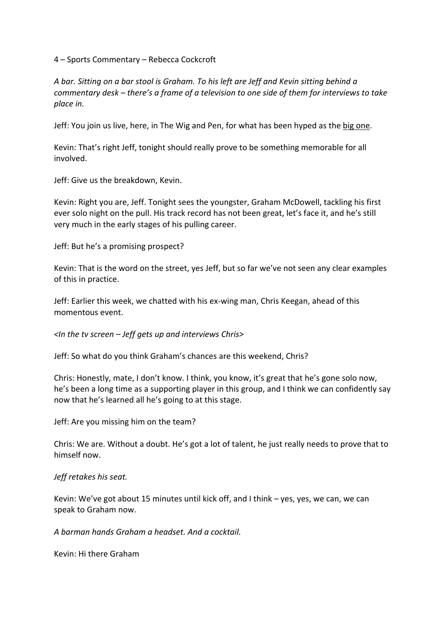4 – Sports Commentary – Rebecca Cockcroft

*A bar. Sitting on a bar stool is Graham. To his left are Jeff and Kevin sitting behind a commentary desk – there's a frame of a television to one side of them for interviews to take place in.* 

Jeff: You join us live, here, in The Wig and Pen, for what has been hyped as the big one.

Kevin: That's right Jeff, tonight should really prove to be something memorable for all involved.

Jeff: Give us the breakdown, Kevin.

Kevin: Right you are, Jeff. Tonight sees the youngster, Graham McDowell, tackling his first ever solo night on the pull. His track record has not been great, let's face it, and he's still very much in the early stages of his pulling career.

Jeff: But he's a promising prospect?

Kevin: That is the word on the street, yes Jeff, but so far we've not seen any clear examples of this in practice.

Jeff: Earlier this week, we chatted with his ex-wing man, Chris Keegan, ahead of this momentous event.

*<In the tv screen – Jeff gets up and interviews Chris>*

Jeff: So what do you think Graham's chances are this weekend, Chris?

Chris: Honestly, mate, I don't know. I think, you know, it's great that he's gone solo now, he's been a long time as a supporting player in this group, and I think we can confidently say now that he's learned all he's going to at this stage.

Jeff: Are you missing him on the team?

Chris: We are. Without a doubt. He's got a lot of talent, he just really needs to prove that to himself now.

## *Jeff retakes his seat.*

Kevin: We've got about 15 minutes until kick off, and I think – yes, yes, we can, we can speak to Graham now.

*A barman hands Graham a headset. And a cocktail.*

Kevin: Hi there Graham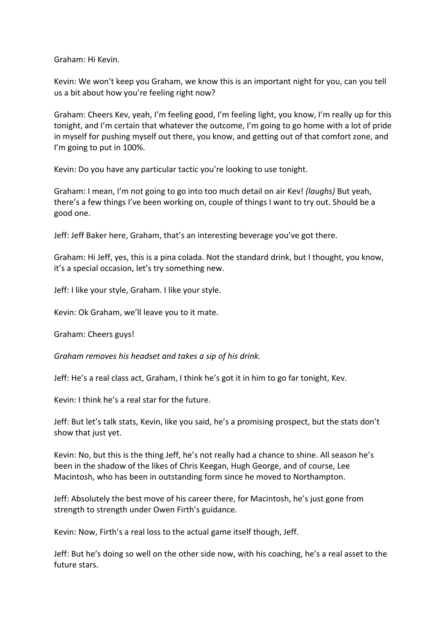Graham: Hi Kevin.

Kevin: We won't keep you Graham, we know this is an important night for you, can you tell us a bit about how you're feeling right now?

Graham: Cheers Kev, yeah, I'm feeling good, I'm feeling light, you know, I'm really up for this tonight, and I'm certain that whatever the outcome, I'm going to go home with a lot of pride in myself for pushing myself out there, you know, and getting out of that comfort zone, and I'm going to put in 100%.

Kevin: Do you have any particular tactic you're looking to use tonight.

Graham: I mean, I'm not going to go into too much detail on air Kev! *(laughs)* But yeah, there's a few things I've been working on, couple of things I want to try out. Should be a good one.

Jeff: Jeff Baker here, Graham, that's an interesting beverage you've got there.

Graham: Hi Jeff, yes, this is a pina colada. Not the standard drink, but I thought, you know, it's a special occasion, let's try something new.

Jeff: I like your style, Graham. I like your style.

Kevin: Ok Graham, we'll leave you to it mate.

Graham: Cheers guys!

*Graham removes his headset and takes a sip of his drink.*

Jeff: He's a real class act, Graham, I think he's got it in him to go far tonight, Kev.

Kevin: I think he's a real star for the future.

Jeff: But let's talk stats, Kevin, like you said, he's a promising prospect, but the stats don't show that just yet.

Kevin: No, but this is the thing Jeff, he's not really had a chance to shine. All season he's been in the shadow of the likes of Chris Keegan, Hugh George, and of course, Lee Macintosh, who has been in outstanding form since he moved to Northampton.

Jeff: Absolutely the best move of his career there, for Macintosh, he's just gone from strength to strength under Owen Firth's guidance.

Kevin: Now, Firth's a real loss to the actual game itself though, Jeff.

Jeff: But he's doing so well on the other side now, with his coaching, he's a real asset to the future stars.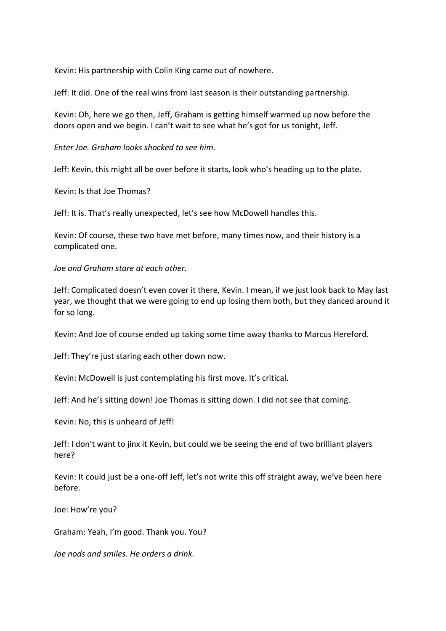Kevin: His partnership with Colin King came out of nowhere.

Jeff: It did. One of the real wins from last season is their outstanding partnership.

Kevin: Oh, here we go then, Jeff, Graham is getting himself warmed up now before the doors open and we begin. I can't wait to see what he's got for us tonight, Jeff.

*Enter Joe. Graham looks shocked to see him.*

Jeff: Kevin, this might all be over before it starts, look who's heading up to the plate.

Kevin: Is that Joe Thomas?

Jeff: It is. That's really unexpected, let's see how McDowell handles this.

Kevin: Of course, these two have met before, many times now, and their history is a complicated one.

*Joe and Graham stare at each other.* 

Jeff: Complicated doesn't even cover it there, Kevin. I mean, if we just look back to May last year, we thought that we were going to end up losing them both, but they danced around it for so long.

Kevin: And Joe of course ended up taking some time away thanks to Marcus Hereford.

Jeff: They're just staring each other down now.

Kevin: McDowell is just contemplating his first move. It's critical.

Jeff: And he's sitting down! Joe Thomas is sitting down. I did not see that coming.

Kevin: No, this is unheard of Jeff!

Jeff: I don't want to jinx it Kevin, but could we be seeing the end of two brilliant players here?

Kevin: It could just be a one-off Jeff, let's not write this off straight away, we've been here before.

Joe: How're you?

Graham: Yeah, I'm good. Thank you. You?

*Joe nods and smiles. He orders a drink.*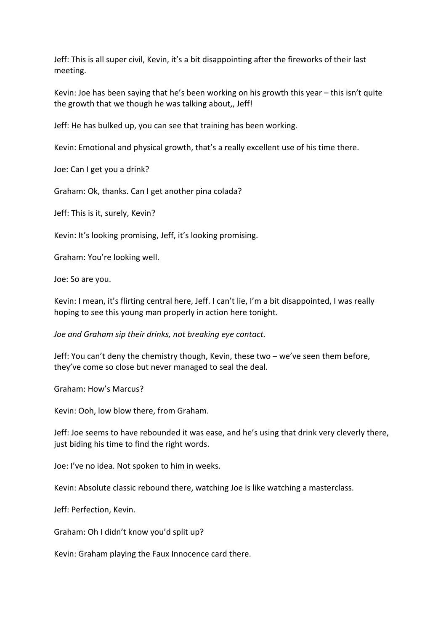Jeff: This is all super civil, Kevin, it's a bit disappointing after the fireworks of their last meeting.

Kevin: Joe has been saying that he's been working on his growth this year – this isn't quite the growth that we though he was talking about,, Jeff!

Jeff: He has bulked up, you can see that training has been working.

Kevin: Emotional and physical growth, that's a really excellent use of his time there.

Joe: Can I get you a drink?

Graham: Ok, thanks. Can I get another pina colada?

Jeff: This is it, surely, Kevin?

Kevin: It's looking promising, Jeff, it's looking promising.

Graham: You're looking well.

Joe: So are you.

Kevin: I mean, it's flirting central here, Jeff. I can't lie, I'm a bit disappointed, I was really hoping to see this young man properly in action here tonight.

*Joe and Graham sip their drinks, not breaking eye contact.*

Jeff: You can't deny the chemistry though, Kevin, these two – we've seen them before, they've come so close but never managed to seal the deal.

Graham: How's Marcus?

Kevin: Ooh, low blow there, from Graham.

Jeff: Joe seems to have rebounded it was ease, and he's using that drink very cleverly there, just biding his time to find the right words.

Joe: I've no idea. Not spoken to him in weeks.

Kevin: Absolute classic rebound there, watching Joe is like watching a masterclass.

Jeff: Perfection, Kevin.

Graham: Oh I didn't know you'd split up?

Kevin: Graham playing the Faux Innocence card there.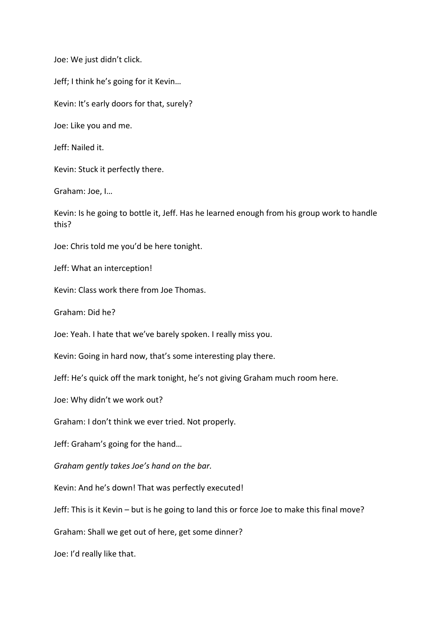Joe: We just didn't click.

Jeff; I think he's going for it Kevin…

Kevin: It's early doors for that, surely?

Joe: Like you and me.

Jeff: Nailed it.

Kevin: Stuck it perfectly there.

Graham: Joe, I…

Kevin: Is he going to bottle it, Jeff. Has he learned enough from his group work to handle this?

Joe: Chris told me you'd be here tonight.

Jeff: What an interception!

Kevin: Class work there from Joe Thomas.

Graham: Did he?

Joe: Yeah. I hate that we've barely spoken. I really miss you.

Kevin: Going in hard now, that's some interesting play there.

Jeff: He's quick off the mark tonight, he's not giving Graham much room here.

Joe: Why didn't we work out?

Graham: I don't think we ever tried. Not properly.

Jeff: Graham's going for the hand…

*Graham gently takes Joe's hand on the bar.* 

Kevin: And he's down! That was perfectly executed!

Jeff: This is it Kevin – but is he going to land this or force Joe to make this final move?

Graham: Shall we get out of here, get some dinner?

Joe: I'd really like that.